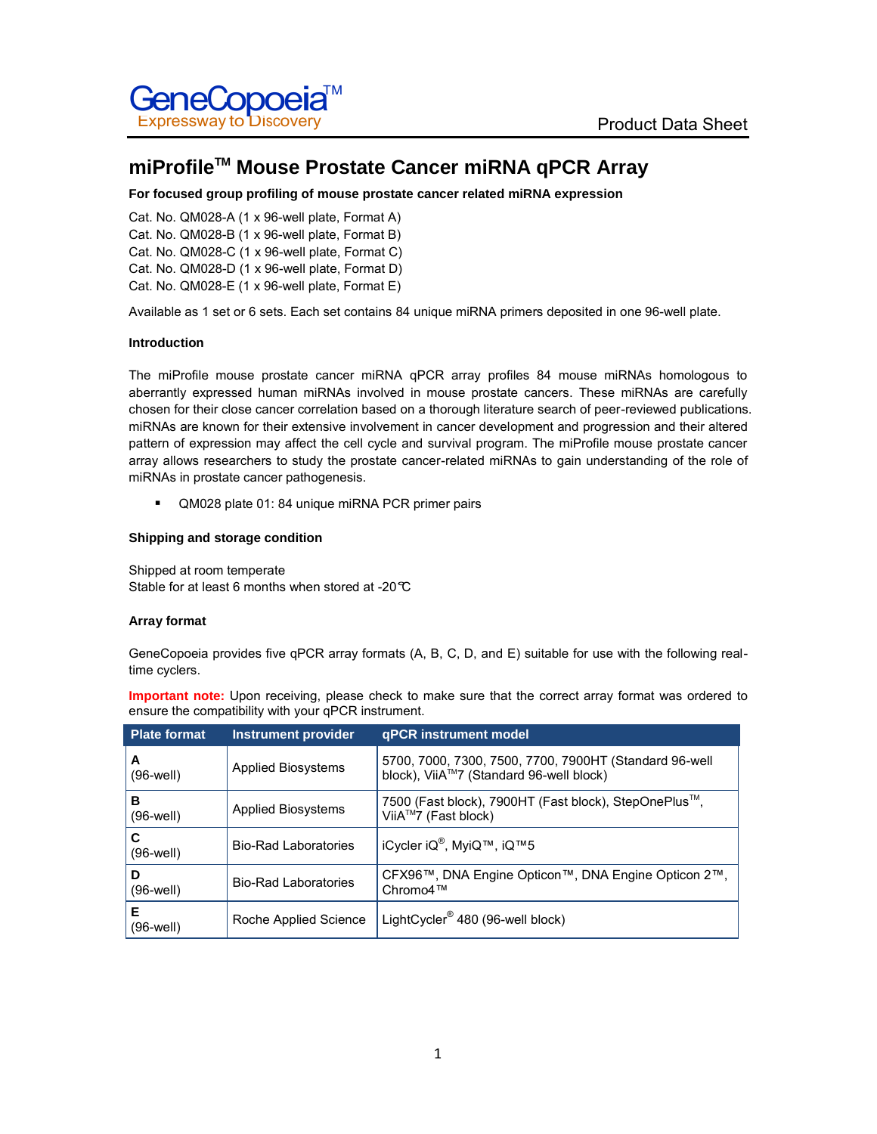

# **miProfileTM Mouse Prostate Cancer miRNA qPCR Array**

# **For focused group profiling of mouse prostate cancer related miRNA expression**

Cat. No. QM028-A (1 x 96-well plate, Format A) Cat. No. QM028-B (1 x 96-well plate, Format B) Cat. No. QM028-C (1 x 96-well plate, Format C) Cat. No. QM028-D (1 x 96-well plate, Format D) Cat. No. QM028-E (1 x 96-well plate, Format E)

Available as 1 set or 6 sets. Each set contains 84 unique miRNA primers deposited in one 96-well plate.

# **Introduction**

The miProfile mouse prostate cancer miRNA qPCR array profiles 84 mouse miRNAs homologous to aberrantly expressed human miRNAs involved in mouse prostate cancers. These miRNAs are carefully chosen for their close cancer correlation based on a thorough literature search of peer-reviewed publications. miRNAs are known for their extensive involvement in cancer development and progression and their altered pattern of expression may affect the cell cycle and survival program. The miProfile mouse prostate cancer array allows researchers to study the prostate cancer-related miRNAs to gain understanding of the role of miRNAs in prostate cancer pathogenesis.

QM028 plate 01: 84 unique miRNA PCR primer pairs

# **Shipping and storage condition**

Shipped at room temperate Stable for at least 6 months when stored at -20°C

### **Array format**

GeneCopoeia provides five qPCR array formats (A, B, C, D, and E) suitable for use with the following realtime cyclers.

**Important note:** Upon receiving, please check to make sure that the correct array format was ordered to ensure the compatibility with your qPCR instrument.

| <b>Plate format</b> | <b>Instrument provider</b>  | <b>gPCR</b> instrument model                                                                      |
|---------------------|-----------------------------|---------------------------------------------------------------------------------------------------|
| A<br>$(96-well)$    | <b>Applied Biosystems</b>   | 5700, 7000, 7300, 7500, 7700, 7900HT (Standard 96-well<br>block), ViiA™7 (Standard 96-well block) |
| в<br>(96-well)      | <b>Applied Biosystems</b>   | 7500 (Fast block), 7900HT (Fast block), StepOnePlus™,<br>ViiA™7 (Fast block)                      |
| С<br>$(96-well)$    | <b>Bio-Rad Laboratories</b> | iCycler iQ <sup>®</sup> , MyiQ™, iQ™5                                                             |
| D<br>(96-well)      | <b>Bio-Rad Laboratories</b> | CFX96™, DNA Engine Opticon™, DNA Engine Opticon 2™,<br>Chromo4™                                   |
| Е<br>(96-well)      | Roche Applied Science       | LightCycler <sup>®</sup> 480 (96-well block)                                                      |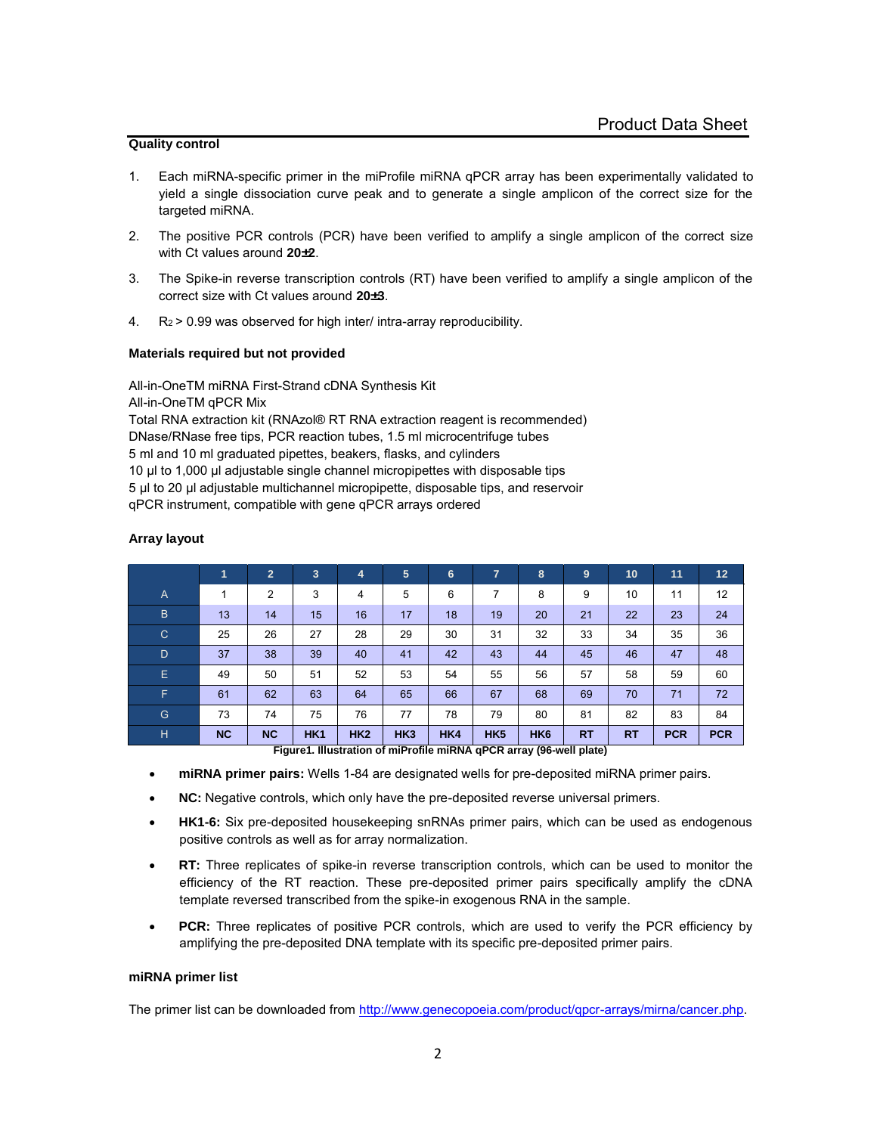# **Quality control**

- 1. Each miRNA-specific primer in the miProfile miRNA qPCR array has been experimentally validated to yield a single dissociation curve peak and to generate a single amplicon of the correct size for the targeted miRNA.
- 2. The positive PCR controls (PCR) have been verified to amplify a single amplicon of the correct size with Ct values around **20±2**.
- 3. The Spike-in reverse transcription controls (RT) have been verified to amplify a single amplicon of the correct size with Ct values around **20±3**.
- 4. R2 > 0.99 was observed for high inter/ intra-array reproducibility.

### **Materials required but not provided**

All-in-OneTM miRNA First-Strand cDNA Synthesis Kit

# All-in-OneTM qPCR Mix

Total RNA extraction kit (RNAzol® RT RNA extraction reagent is recommended) DNase/RNase free tips, PCR reaction tubes, 1.5 ml microcentrifuge tubes 5 ml and 10 ml graduated pipettes, beakers, flasks, and cylinders 10 μl to 1,000 μl adjustable single channel micropipettes with disposable tips 5 μl to 20 μl adjustable multichannel micropipette, disposable tips, and reservoir qPCR instrument, compatible with gene qPCR arrays ordered

|                | 1                                                                    | $\overline{2}$ | 3               | 4   | 5               | 6   | 7               | 8               | 9         | 10        | 11         | 12         |  |
|----------------|----------------------------------------------------------------------|----------------|-----------------|-----|-----------------|-----|-----------------|-----------------|-----------|-----------|------------|------------|--|
| $\overline{A}$ | 1                                                                    | 2              | 3               | 4   | 5               | 6   | 7               | 8               | 9         | 10        | 11         | 12         |  |
| B              | 13                                                                   | 14             | 15              | 16  | 17              | 18  | 19              | 20              | 21        | 22        | 23         | 24         |  |
| $\mathsf{C}$   | 25                                                                   | 26             | 27              | 28  | 29              | 30  | 31              | 32              | 33        | 34        | 35         | 36         |  |
| D              | 37                                                                   | 38             | 39              | 40  | 41              | 42  | 43              | 44              | 45        | 46        | 47         | 48         |  |
| E              | 49                                                                   | 50             | 51              | 52  | 53              | 54  | 55              | 56              | 57        | 58        | 59         | 60         |  |
| F.             | 61                                                                   | 62             | 63              | 64  | 65              | 66  | 67              | 68              | 69        | 70        | 71         | 72         |  |
| G              | 73                                                                   | 74             | 75              | 76  | 77              | 78  | 79              | 80              | 81        | 82        | 83         | 84         |  |
| Н              | <b>NC</b>                                                            | <b>NC</b>      | HK <sub>1</sub> | HK2 | HK <sub>3</sub> | HK4 | HK <sub>5</sub> | HK <sub>6</sub> | <b>RT</b> | <b>RT</b> | <b>PCR</b> | <b>PCR</b> |  |
|                | Figure 1. Illustration of miProfile miRNA gPCR array (96-well plate) |                |                 |     |                 |     |                 |                 |           |           |            |            |  |

### **Array layout**

**miRNA primer pairs:** Wells 1-84 are designated wells for pre-deposited miRNA primer pairs.

- **NC:** Negative controls, which only have the pre-deposited reverse universal primers.
- **HK1-6:** Six pre-deposited housekeeping snRNAs primer pairs, which can be used as endogenous positive controls as well as for array normalization.
- **RT:** Three replicates of spike-in reverse transcription controls, which can be used to monitor the efficiency of the RT reaction. These pre-deposited primer pairs specifically amplify the cDNA template reversed transcribed from the spike-in exogenous RNA in the sample.
- **PCR:** Three replicates of positive PCR controls, which are used to verify the PCR efficiency by amplifying the pre-deposited DNA template with its specific pre-deposited primer pairs.

# **miRNA primer list**

The primer list can be downloaded from http://www.genecopoeia.com/product/qpcr-arrays/mirna/cancer.php.